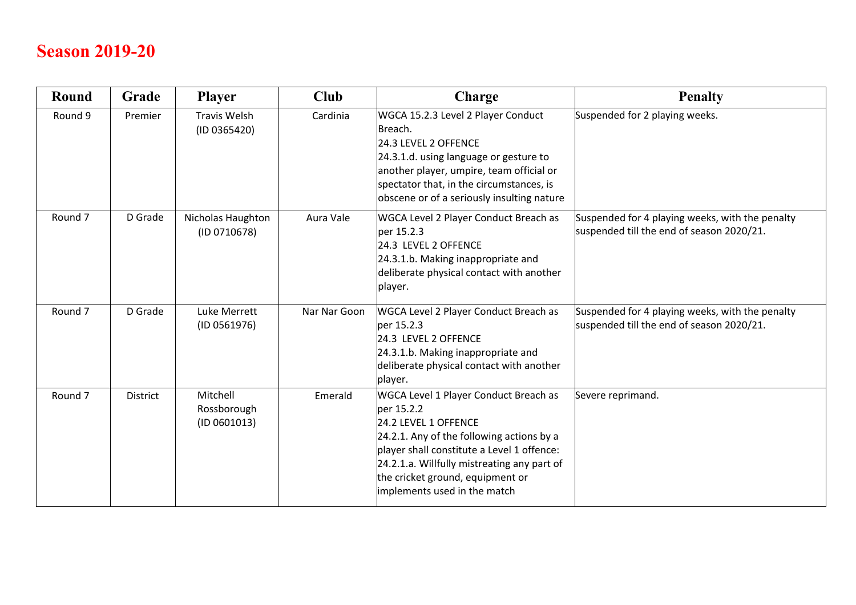## **Season 2019-20**

| <b>Round</b>       | Grade           | <b>Player</b>                           | <b>Club</b>  | Charge                                                                                                                                                                                                                                                                                    | <b>Penalty</b>                                                                               |
|--------------------|-----------------|-----------------------------------------|--------------|-------------------------------------------------------------------------------------------------------------------------------------------------------------------------------------------------------------------------------------------------------------------------------------------|----------------------------------------------------------------------------------------------|
| Round 9            | Premier         | <b>Travis Welsh</b><br>(ID 0365420)     | Cardinia     | WGCA 15.2.3 Level 2 Player Conduct<br>Breach.<br>24.3 LEVEL 2 OFFENCE<br>24.3.1.d. using language or gesture to<br>another player, umpire, team official or<br>spectator that, in the circumstances, is<br>obscene or of a seriously insulting nature                                     | Suspended for 2 playing weeks.                                                               |
| Round <sub>7</sub> | D Grade         | Nicholas Haughton<br>(ID 0710678)       | Aura Vale    | WGCA Level 2 Player Conduct Breach as<br>per 15.2.3<br>24.3 LEVEL 2 OFFENCE<br>24.3.1.b. Making inappropriate and<br>deliberate physical contact with another<br>player.                                                                                                                  | Suspended for 4 playing weeks, with the penalty<br>suspended till the end of season 2020/21. |
| Round <sub>7</sub> | D Grade         | Luke Merrett<br>(ID 0561976)            | Nar Nar Goon | WGCA Level 2 Player Conduct Breach as<br>per 15.2.3<br>24.3 LEVEL 2 OFFENCE<br>24.3.1.b. Making inappropriate and<br>deliberate physical contact with another<br>player.                                                                                                                  | Suspended for 4 playing weeks, with the penalty<br>suspended till the end of season 2020/21. |
| Round <sub>7</sub> | <b>District</b> | Mitchell<br>Rossborough<br>(ID 0601013) | Emerald      | WGCA Level 1 Player Conduct Breach as<br>per 15.2.2<br>24.2 LEVEL 1 OFFENCE<br>24.2.1. Any of the following actions by a<br>player shall constitute a Level 1 offence:<br>24.2.1.a. Willfully mistreating any part of<br>the cricket ground, equipment or<br>implements used in the match | Severe reprimand.                                                                            |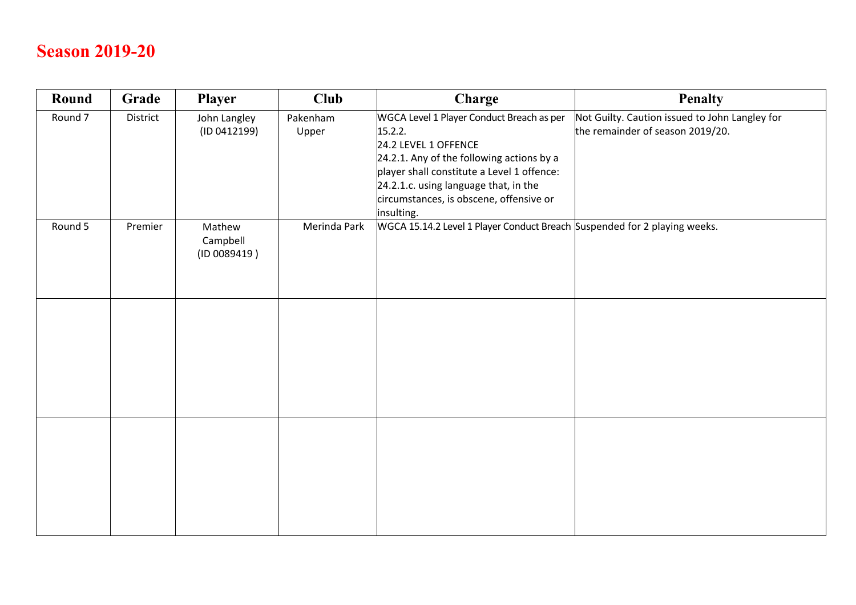## **Season 2019-20**

| Round              | Grade    | Player                             | <b>Club</b>       | Charge                                                                                                                                                                                                                                                                    | <b>Penalty</b>                                                                     |
|--------------------|----------|------------------------------------|-------------------|---------------------------------------------------------------------------------------------------------------------------------------------------------------------------------------------------------------------------------------------------------------------------|------------------------------------------------------------------------------------|
| Round <sub>7</sub> | District | John Langley<br>(ID 0412199)       | Pakenham<br>Upper | WGCA Level 1 Player Conduct Breach as per<br>15.2.2.<br>24.2 LEVEL 1 OFFENCE<br>24.2.1. Any of the following actions by a<br>player shall constitute a Level 1 offence:<br>24.2.1.c. using language that, in the<br>circumstances, is obscene, offensive or<br>insulting. | Not Guilty. Caution issued to John Langley for<br>the remainder of season 2019/20. |
| Round 5            | Premier  | Mathew<br>Campbell<br>(ID 0089419) | Merinda Park      | WGCA 15.14.2 Level 1 Player Conduct Breach Suspended for 2 playing weeks.                                                                                                                                                                                                 |                                                                                    |
|                    |          |                                    |                   |                                                                                                                                                                                                                                                                           |                                                                                    |
|                    |          |                                    |                   |                                                                                                                                                                                                                                                                           |                                                                                    |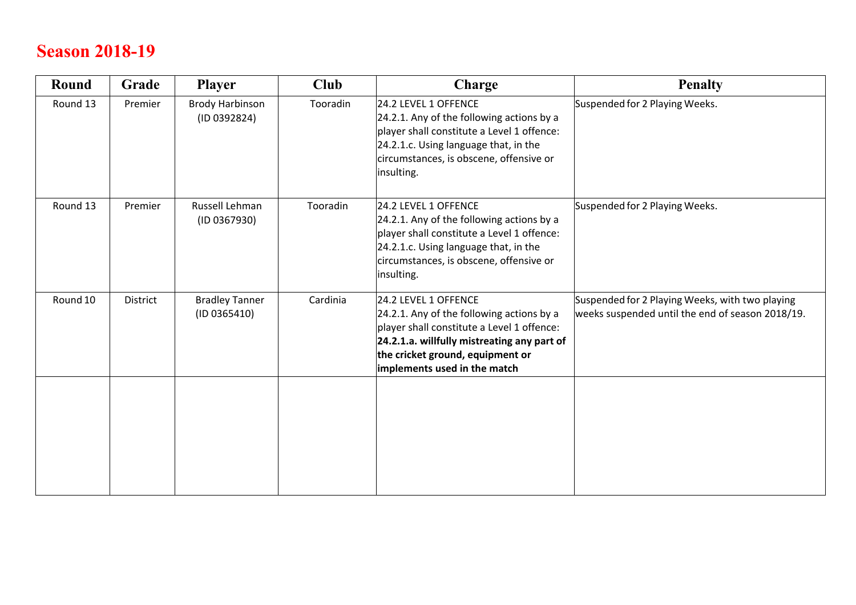# **Season 2018-19**

| <b>Round</b> | Grade    | <b>Player</b>                          | <b>Club</b> | Charge                                                                                                                                                                                                                             | <b>Penalty</b>                                                                                      |
|--------------|----------|----------------------------------------|-------------|------------------------------------------------------------------------------------------------------------------------------------------------------------------------------------------------------------------------------------|-----------------------------------------------------------------------------------------------------|
| Round 13     | Premier  | <b>Brody Harbinson</b><br>(ID 0392824) | Tooradin    | 24.2 LEVEL 1 OFFENCE<br>24.2.1. Any of the following actions by a<br>player shall constitute a Level 1 offence:<br>24.2.1.c. Using language that, in the<br>circumstances, is obscene, offensive or<br>insulting.                  | Suspended for 2 Playing Weeks.                                                                      |
| Round 13     | Premier  | Russell Lehman<br>(ID 0367930)         | Tooradin    | 24.2 LEVEL 1 OFFENCE<br>24.2.1. Any of the following actions by a<br>player shall constitute a Level 1 offence:<br>24.2.1.c. Using language that, in the<br>circumstances, is obscene, offensive or<br>insulting.                  | Suspended for 2 Playing Weeks.                                                                      |
| Round 10     | District | <b>Bradley Tanner</b><br>(ID 0365410)  | Cardinia    | 24.2 LEVEL 1 OFFENCE<br>24.2.1. Any of the following actions by a<br>player shall constitute a Level 1 offence:<br>24.2.1.a. willfully mistreating any part of<br>the cricket ground, equipment or<br>implements used in the match | Suspended for 2 Playing Weeks, with two playing<br>weeks suspended until the end of season 2018/19. |
|              |          |                                        |             |                                                                                                                                                                                                                                    |                                                                                                     |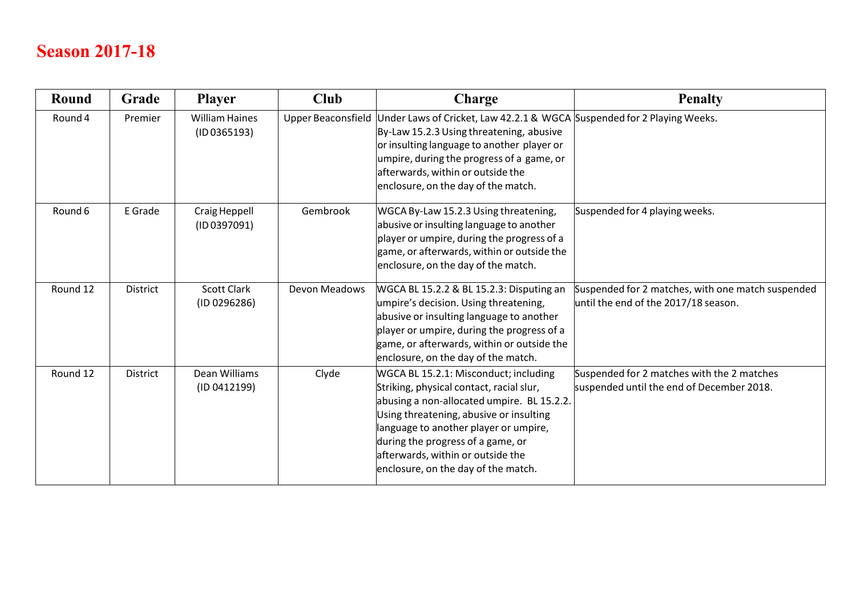## **Season 2017-18**

| Round    | Grade           | <b>Player</b>                         | <b>Club</b>               | Charge                                                                                                                                                                                                                                                                                                                               | <b>Penalty</b>                                                                            |
|----------|-----------------|---------------------------------------|---------------------------|--------------------------------------------------------------------------------------------------------------------------------------------------------------------------------------------------------------------------------------------------------------------------------------------------------------------------------------|-------------------------------------------------------------------------------------------|
| Round 4  | Premier         | <b>William Haines</b><br>(1D 0365193) | <b>Upper Beaconsfield</b> | Under Laws of Cricket, Law 42.2.1 & WGCA Suspended for 2 Playing Weeks.<br>By-Law 15.2.3 Using threatening, abusive<br>or insulting language to another player or<br>umpire, during the progress of a game, or<br>afterwards, within or outside the<br>enclosure, on the day of the match.                                           |                                                                                           |
| Round 6  | E Grade         | Craig Heppell<br>(ID 0397091)         | Gembrook                  | WGCA By-Law 15.2.3 Using threatening,<br>abusive or insulting language to another<br>player or umpire, during the progress of a<br>game, or afterwards, within or outside the<br>enclosure, on the day of the match.                                                                                                                 | Suspended for 4 playing weeks.                                                            |
| Round 12 | <b>District</b> | <b>Scott Clark</b><br>(ID 0296286)    | Devon Meadows             | WGCA BL 15.2.2 & BL 15.2.3: Disputing an<br>umpire's decision. Using threatening,<br>abusive or insulting language to another<br>player or umpire, during the progress of a<br>game, or afterwards, within or outside the<br>enclosure, on the day of the match.                                                                     | Suspended for 2 matches, with one match suspended<br>until the end of the 2017/18 season. |
| Round 12 | <b>District</b> | Dean Williams<br>(ID 0412199)         | Clyde                     | WGCA BL 15.2.1: Misconduct; including<br>Striking, physical contact, racial slur,<br>abusing a non-allocated umpire. BL 15.2.2.<br>Using threatening, abusive or insulting<br>language to another player or umpire,<br>during the progress of a game, or<br>afterwards, within or outside the<br>enclosure, on the day of the match. | Suspended for 2 matches with the 2 matches<br>suspended until the end of December 2018.   |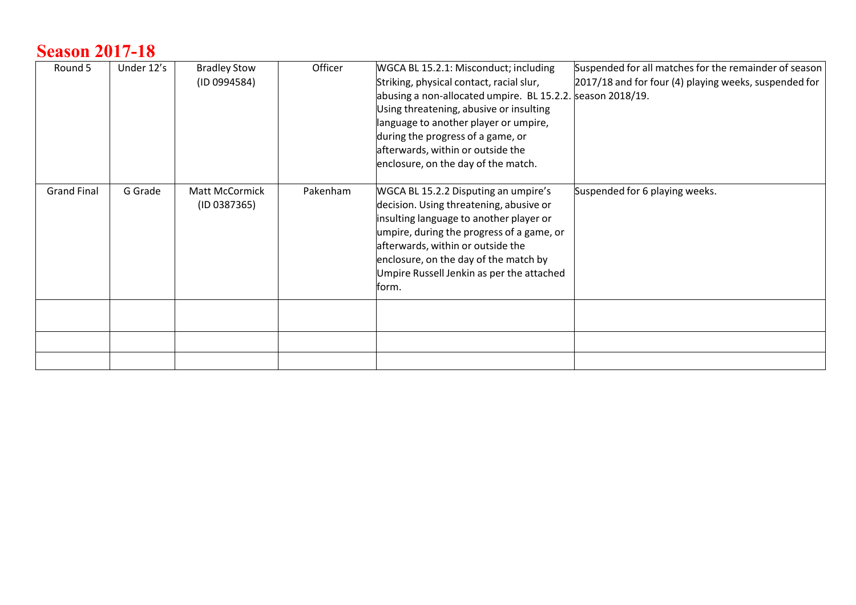#### **Season 2017-18**

| Round 5            | Under 12's | <b>Bradley Stow</b><br>(1D 0994584) | Officer  | WGCA BL 15.2.1: Misconduct; including<br>Striking, physical contact, racial slur,<br>abusing a non-allocated umpire. BL 15.2.2. season 2018/19.<br>Using threatening, abusive or insulting<br>language to another player or umpire,<br>during the progress of a game, or<br>afterwards, within or outside the<br>enclosure, on the day of the match. | Suspended for all matches for the remainder of season<br>2017/18 and for four (4) playing weeks, suspended for |
|--------------------|------------|-------------------------------------|----------|------------------------------------------------------------------------------------------------------------------------------------------------------------------------------------------------------------------------------------------------------------------------------------------------------------------------------------------------------|----------------------------------------------------------------------------------------------------------------|
| <b>Grand Final</b> | G Grade    | Matt McCormick<br>(ID 0387365)      | Pakenham | WGCA BL 15.2.2 Disputing an umpire's<br>decision. Using threatening, abusive or<br>insulting language to another player or<br>umpire, during the progress of a game, or<br>afterwards, within or outside the<br>enclosure, on the day of the match by<br>Umpire Russell Jenkin as per the attached<br>form.                                          | Suspended for 6 playing weeks.                                                                                 |
|                    |            |                                     |          |                                                                                                                                                                                                                                                                                                                                                      |                                                                                                                |
|                    |            |                                     |          |                                                                                                                                                                                                                                                                                                                                                      |                                                                                                                |
|                    |            |                                     |          |                                                                                                                                                                                                                                                                                                                                                      |                                                                                                                |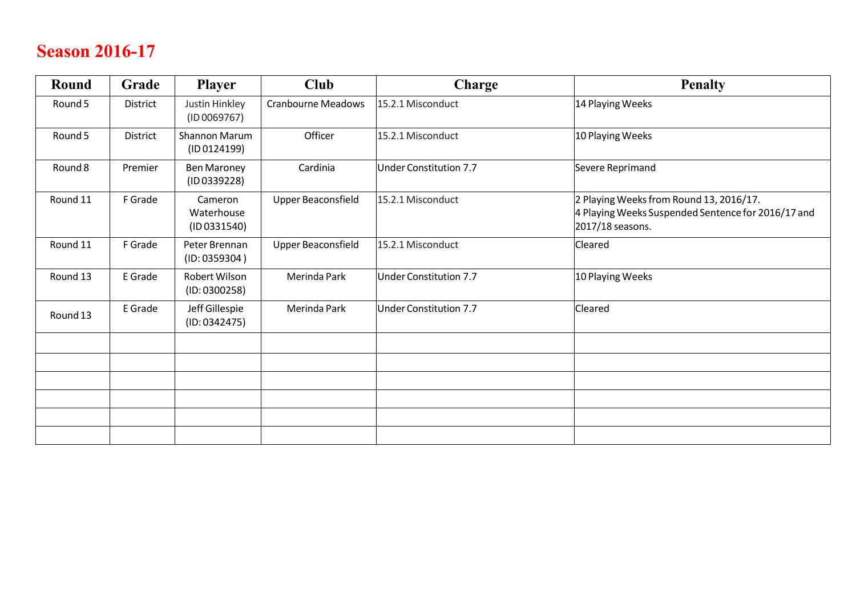# **Season 2016-17**

| <b>Round</b> | Grade    | <b>Player</b>                         | <b>Club</b>               | <b>Charge</b>                 | <b>Penalty</b>                                                                                                    |
|--------------|----------|---------------------------------------|---------------------------|-------------------------------|-------------------------------------------------------------------------------------------------------------------|
| Round 5      | District | Justin Hinkley<br>(ID 0069767)        | <b>Cranbourne Meadows</b> | 15.2.1 Misconduct             | 14 Playing Weeks                                                                                                  |
| Round 5      | District | Shannon Marum<br>(ID 0124199)         | Officer                   | 15.2.1 Misconduct             | 10 Playing Weeks                                                                                                  |
| Round 8      | Premier  | <b>Ben Maroney</b><br>(ID 0339228)    | Cardinia                  | <b>Under Constitution 7.7</b> | Severe Reprimand                                                                                                  |
| Round 11     | F Grade  | Cameron<br>Waterhouse<br>(1D 0331540) | Upper Beaconsfield        | 15.2.1 Misconduct             | 2 Playing Weeks from Round 13, 2016/17.<br>4 Playing Weeks Suspended Sentence for 2016/17 and<br>2017/18 seasons. |
| Round 11     | F Grade  | Peter Brennan<br>(ID: 0359304)        | <b>Upper Beaconsfield</b> | 15.2.1 Misconduct             | Cleared                                                                                                           |
| Round 13     | E Grade  | Robert Wilson<br>(ID: 0300258)        | Merinda Park              | <b>Under Constitution 7.7</b> | 10 Playing Weeks                                                                                                  |
| Round 13     | E Grade  | Jeff Gillespie<br>(ID: 0342475)       | Merinda Park              | <b>Under Constitution 7.7</b> | Cleared                                                                                                           |
|              |          |                                       |                           |                               |                                                                                                                   |
|              |          |                                       |                           |                               |                                                                                                                   |
|              |          |                                       |                           |                               |                                                                                                                   |
|              |          |                                       |                           |                               |                                                                                                                   |
|              |          |                                       |                           |                               |                                                                                                                   |
|              |          |                                       |                           |                               |                                                                                                                   |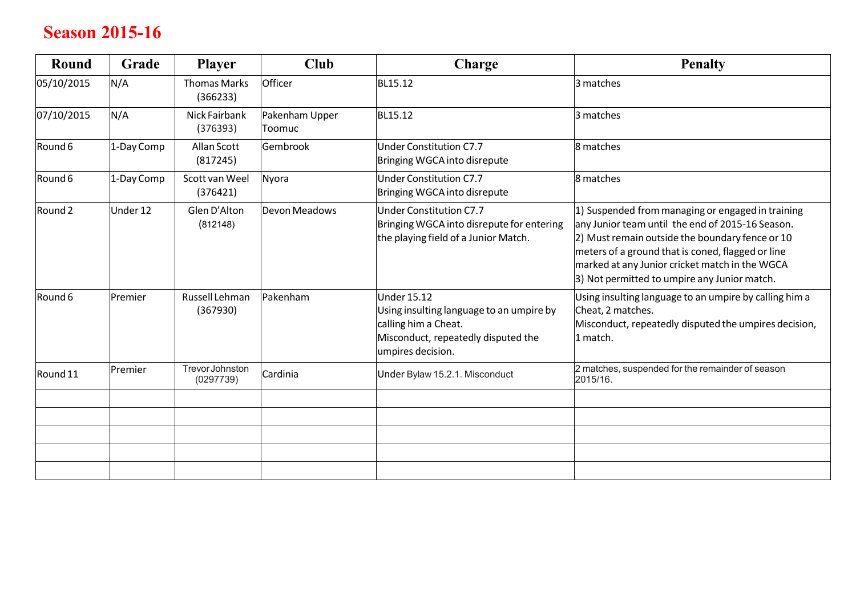#### **Season 2015-16**

| Round              | Grade      | <b>Player</b>                   | <b>Club</b>              | Charge                                                                                                                                             | <b>Penalty</b>                                                                                                                                                                                                                                                                                                  |
|--------------------|------------|---------------------------------|--------------------------|----------------------------------------------------------------------------------------------------------------------------------------------------|-----------------------------------------------------------------------------------------------------------------------------------------------------------------------------------------------------------------------------------------------------------------------------------------------------------------|
| 05/10/2015         | N/A        | <b>Thomas Marks</b><br>(366233) | Officer                  | BL15.12                                                                                                                                            | 3 matches                                                                                                                                                                                                                                                                                                       |
| 07/10/2015         | N/A        | Nick Fairbank<br>(376393)       | Pakenham Upper<br>Toomuc | BL15.12                                                                                                                                            | 3 matches                                                                                                                                                                                                                                                                                                       |
| Round 6            | 1-Day Comp | Allan Scott<br>(817245)         | Gembrook                 | Under Constitution C7.7<br>Bringing WGCA into disrepute                                                                                            | 8 matches                                                                                                                                                                                                                                                                                                       |
| Round 6            | 1-Day Comp | Scott van Weel<br>(376421)      | Nyora                    | Under Constitution C7.7<br>Bringing WGCA into disrepute                                                                                            | 8 matches                                                                                                                                                                                                                                                                                                       |
| Round <sub>2</sub> | Under 12   | Glen D'Alton<br>(812148)        | Devon Meadows            | Under Constitution C7.7<br>Bringing WGCA into disrepute for entering<br>the playing field of a Junior Match.                                       | 1) Suspended from managing or engaged in training<br>any Junior team until the end of 2015-16 Season.<br>2) Must remain outside the boundary fence or 10<br>meters of a ground that is coned, flagged or line<br>marked at any Junior cricket match in the WGCA<br>3) Not permitted to umpire any Junior match. |
| Round 6            | Premier    | Russell Lehman<br>(367930)      | Pakenham                 | <b>Under 15.12</b><br>Using insulting language to an umpire by<br>calling him a Cheat.<br>Misconduct, repeatedly disputed the<br>umpires decision. | Using insulting language to an umpire by calling him a<br>Cheat, 2 matches.<br>Misconduct, repeatedly disputed the umpires decision,<br>1 match.                                                                                                                                                                |
| Round 11           | Premier    | Trevor Johnston<br>(0297739)    | Cardinia                 | Under Bylaw 15.2.1. Misconduct                                                                                                                     | 2 matches, suspended for the remainder of season<br>2015/16.                                                                                                                                                                                                                                                    |
|                    |            |                                 |                          |                                                                                                                                                    |                                                                                                                                                                                                                                                                                                                 |
|                    |            |                                 |                          |                                                                                                                                                    |                                                                                                                                                                                                                                                                                                                 |
|                    |            |                                 |                          |                                                                                                                                                    |                                                                                                                                                                                                                                                                                                                 |
|                    |            |                                 |                          |                                                                                                                                                    |                                                                                                                                                                                                                                                                                                                 |
|                    |            |                                 |                          |                                                                                                                                                    |                                                                                                                                                                                                                                                                                                                 |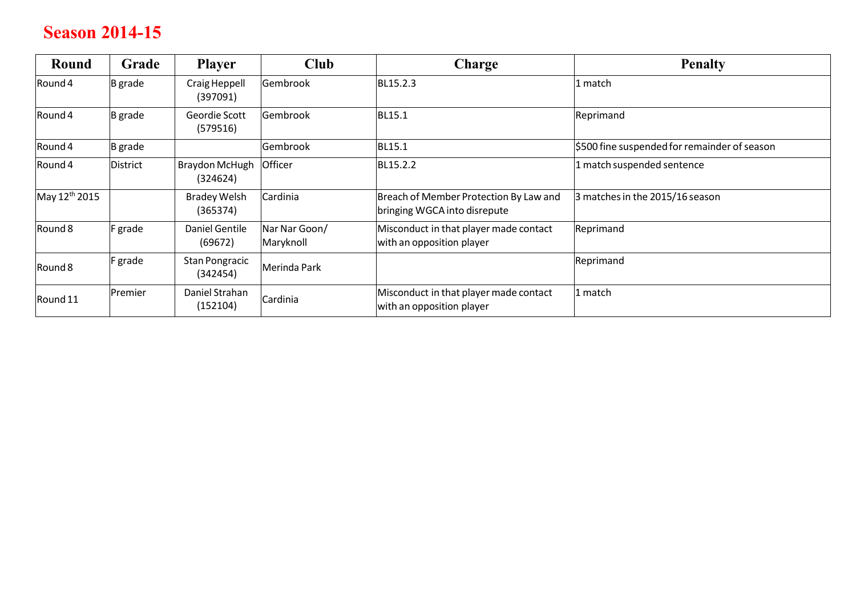#### **Season 2014-15**

| Round                     | Grade          | <b>Player</b>                   | <b>Club</b>                | <b>Charge</b>                                                          | <b>Penalty</b>                               |
|---------------------------|----------------|---------------------------------|----------------------------|------------------------------------------------------------------------|----------------------------------------------|
| Round 4                   | <b>B</b> grade | Craig Heppell<br>(397091)       | Gembrook                   | BL15.2.3                                                               | 1 match                                      |
| Round 4                   | <b>B</b> grade | Geordie Scott<br>(579516)       | Gembrook                   | BL15.1                                                                 | Reprimand                                    |
| Round 4                   | <b>B</b> grade |                                 | Gembrook                   | BL15.1                                                                 | \$500 fine suspended for remainder of season |
| Round 4                   | District       | Braydon McHugh<br>(324624)      | Officer                    | BL15.2.2                                                               | 1 match suspended sentence                   |
| May 12 <sup>th</sup> 2015 |                | <b>Bradey Welsh</b><br>(365374) | Cardinia                   | Breach of Member Protection By Law and<br>bringing WGCA into disrepute | 3 matches in the 2015/16 season              |
| Round 8                   | F grade        | Daniel Gentile<br>(69672)       | Nar Nar Goon/<br>Maryknoll | Misconduct in that player made contact<br>with an opposition player    | Reprimand                                    |
| Round 8                   | F grade        | Stan Pongracic<br>(342454)      | Merinda Park               |                                                                        | Reprimand                                    |
| Round 11                  | Premier        | Daniel Strahan<br>(152104)      | Cardinia                   | Misconduct in that player made contact<br>with an opposition player    | 1 match                                      |